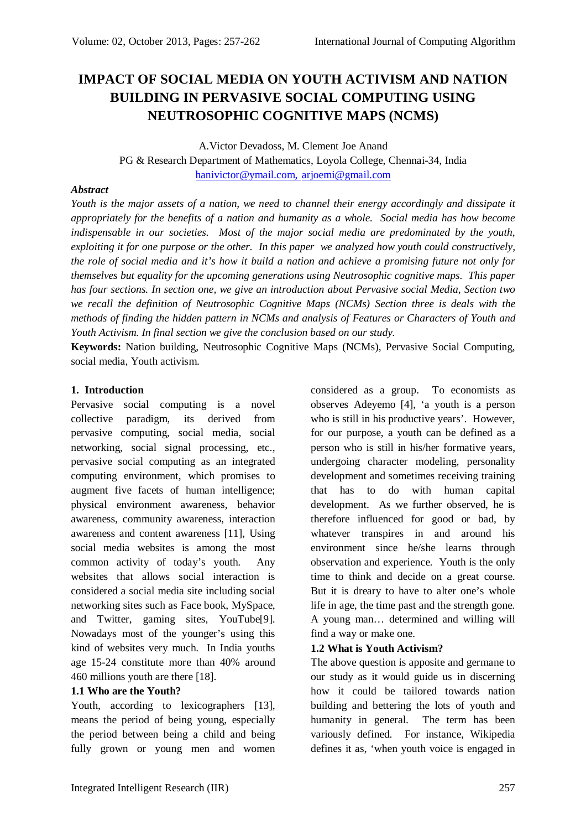# **IMPACT OF SOCIAL MEDIA ON YOUTH ACTIVISM AND NATION BUILDING IN PERVASIVE SOCIAL COMPUTING USING NEUTROSOPHIC COGNITIVE MAPS (NCMS)**

A.Victor Devadoss, M. Clement Joe Anand PG & Research Department of Mathematics, Loyola College, Chennai-34, India hanivictor@ymail.com, arjoemi@gmail.com

### *Abstract*

*Youth is the major assets of a nation, we need to channel their energy accordingly and dissipate it appropriately for the benefits of a nation and humanity as a whole. Social media has how become indispensable in our societies. Most of the major social media are predominated by the youth, exploiting it for one purpose or the other. In this paper we analyzed how youth could constructively, the role of social media and it's how it build a nation and achieve a promising future not only for themselves but equality for the upcoming generations using Neutrosophic cognitive maps. This paper has four sections. In section one, we give an introduction about Pervasive social Media, Section two we recall the definition of Neutrosophic Cognitive Maps (NCMs) Section three is deals with the methods of finding the hidden pattern in NCMs and analysis of Features or Characters of Youth and Youth Activism. In final section we give the conclusion based on our study.*

**Keywords:** Nation building, Neutrosophic Cognitive Maps (NCMs), Pervasive Social Computing, social media, Youth activism.

#### **1. Introduction**

Pervasive social computing is a novel collective paradigm, its derived from pervasive computing, social media, social networking, social signal processing, etc., pervasive social computing as an integrated computing environment, which promises to augment five facets of human intelligence; physical environment awareness, behavior awareness, community awareness, interaction awareness and content awareness [11], Using social media websites is among the most common activity of today's youth. Any websites that allows social interaction is considered a social media site including social networking sites such as Face book, MySpace, and Twitter, gaming sites, YouTube[9]. Nowadays most of the younger's using this kind of websites very much. In India youths age 15-24 constitute more than 40% around 460 millions youth are there [18].

## **1.1 Who are the Youth?**

Youth, according to lexicographers [13], means the period of being young, especially the period between being a child and being fully grown or young men and women

considered as a group. To economists as observes Adeyemo [4], 'a youth is a person who is still in his productive years'. However, for our purpose, a youth can be defined as a person who is still in his/her formative years, undergoing character modeling, personality development and sometimes receiving training that has to do with human capital development. As we further observed, he is therefore influenced for good or bad, by whatever transpires in and around his environment since he/she learns through observation and experience. Youth is the only time to think and decide on a great course. But it is dreary to have to alter one's whole life in age, the time past and the strength gone. A young man… determined and willing will find a way or make one.

## **1.2 What is Youth Activism?**

The above question is apposite and germane to our study as it would guide us in discerning how it could be tailored towards nation building and bettering the lots of youth and humanity in general. The term has been variously defined. For instance, Wikipedia defines it as, 'when youth voice is engaged in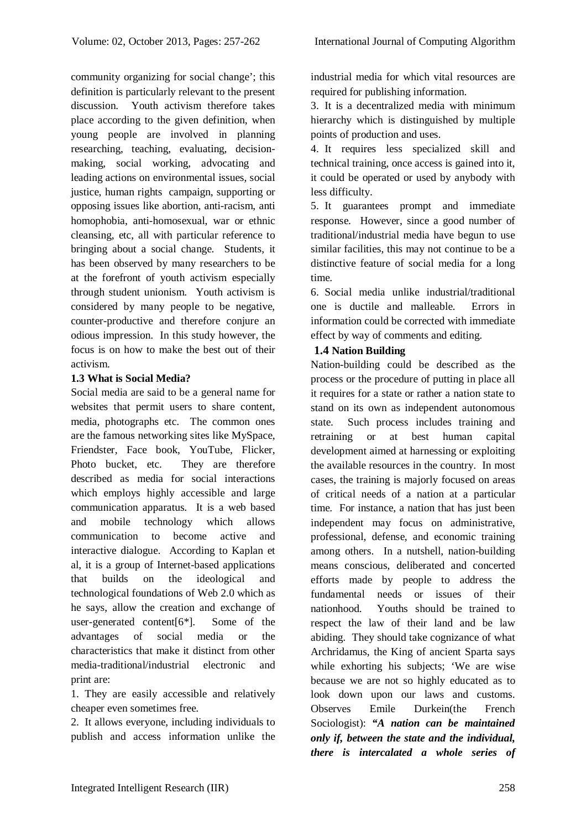community organizing for social change'; this definition is particularly relevant to the present discussion. Youth activism therefore takes place according to the given definition, when young people are involved in planning researching, teaching, evaluating, decisionmaking, social working, advocating and leading actions on environmental issues, social justice, human rights campaign, supporting or opposing issues like abortion, anti-racism, anti homophobia, anti-homosexual, war or ethnic cleansing, etc, all with particular reference to bringing about a social change. Students, it has been observed by many researchers to be at the forefront of youth activism especially through student unionism. Youth activism is considered by many people to be negative, counter-productive and therefore conjure an odious impression. In this study however, the focus is on how to make the best out of their activism.

# **1.3 What is Social Media?**

Social media are said to be a general name for websites that permit users to share content, media, photographs etc. The common ones are the famous networking sites like MySpace, Friendster, Face book, YouTube, Flicker, Photo bucket, etc. They are therefore described as media for social interactions which employs highly accessible and large communication apparatus. It is a web based and mobile technology which allows communication to become active and interactive dialogue. According to Kaplan et al, it is a group of Internet-based applications that builds on the ideological and technological foundations of Web 2.0 which as he says, allow the creation and exchange of user-generated content[6\*]. Some of the advantages of social media or the characteristics that make it distinct from other media-traditional/industrial electronic and print are:

1. They are easily accessible and relatively cheaper even sometimes free.

2. It allows everyone, including individuals to publish and access information unlike the industrial media for which vital resources are required for publishing information.

3. It is a decentralized media with minimum hierarchy which is distinguished by multiple points of production and uses.

4. It requires less specialized skill and technical training, once access is gained into it, it could be operated or used by anybody with less difficulty.

5. It guarantees prompt and immediate response. However, since a good number of traditional/industrial media have begun to use similar facilities, this may not continue to be a distinctive feature of social media for a long time.

6. Social media unlike industrial/traditional one is ductile and malleable. Errors in information could be corrected with immediate effect by way of comments and editing.

# **1.4 Nation Building**

Nation-building could be described as the process or the procedure of putting in place all it requires for a state or rather a nation state to stand on its own as independent autonomous state. Such process includes training and retraining or at best human capital development aimed at harnessing or exploiting the available resources in the country. In most cases, the training is majorly focused on areas of critical needs of a nation at a particular time. For instance, a nation that has just been independent may focus on administrative, professional, defense, and economic training among others. In a nutshell, nation-building means conscious, deliberated and concerted efforts made by people to address the fundamental needs or issues of their nationhood. Youths should be trained to respect the law of their land and be law abiding. They should take cognizance of what Archridamus, the King of ancient Sparta says while exhorting his subjects; 'We are wise because we are not so highly educated as to look down upon our laws and customs. Observes Emile Durkein(the French Sociologist): *"A nation can be maintained only if, between the state and the individual, there is intercalated a whole series of*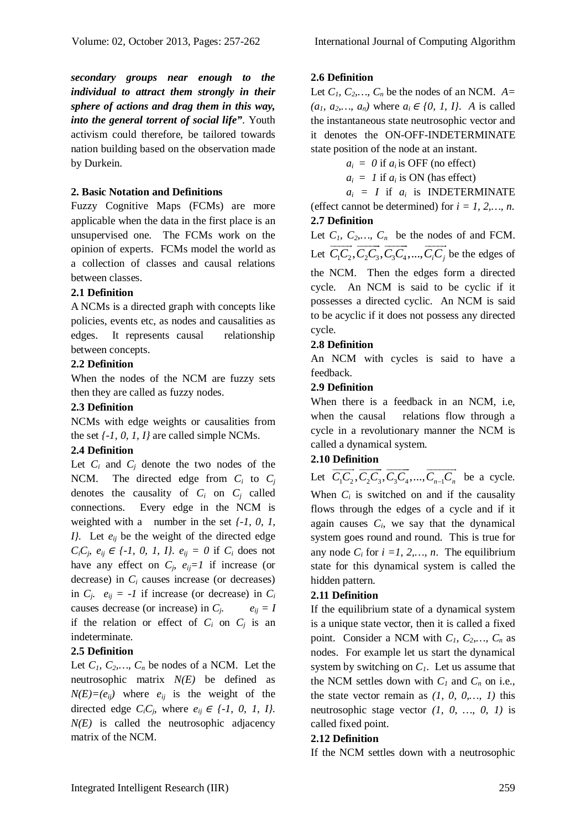*secondary groups near enough to the individual to attract them strongly in their sphere of actions and drag them in this way, into the general torrent of social life"*. Youth activism could therefore, be tailored towards nation building based on the observation made by Durkein.

## **2. Basic Notation and Definitions**

Fuzzy Cognitive Maps (FCMs) are more applicable when the data in the first place is an unsupervised one. The FCMs work on the opinion of experts. FCMs model the world as a collection of classes and causal relations between classes.

# **2.1 Definition**

A NCMs is a directed graph with concepts like policies, events etc, as nodes and causalities as edges. It represents causal relationship between concepts.

## **2.2 Definition**

When the nodes of the NCM are fuzzy sets then they are called as fuzzy nodes.

## **2.3 Definition**

NCMs with edge weights or causalities from the set *{-1, 0, 1, I}* are called simple NCMs.

# **2.4 Definition**

Let  $C_i$  and  $C_j$  denote the two nodes of the NCM. The directed edge from  $C_i$  to  $C_j$ denotes the causality of  $C_i$  on  $C_j$  called connections. Every edge in the NCM is weighted with a number in the set *{-1, 0, 1, I}.* Let *eij* be the weight of the directed edge *C*<sub>*i*</sub>C<sub>*j*</sub>, *e*<sub>*ij*</sub>  $\in$  *{-1, 0, 1, 1}. e*<sub>*ij*</sub> = *0* if *C*<sup>*i*</sup> does not have any effect on  $C_j$ ,  $e_{ij} = 1$  if increase (or decrease) in *C<sup>i</sup>* causes increase (or decreases) in  $C_j$ ,  $e_{ij} = -1$  if increase (or decrease) in  $C_i$ causes decrease (or increase) in *C<sup>j</sup>*  $e_{ij} = I$ if the relation or effect of  $C_i$  on  $C_j$  is an indeterminate.

## **2.5 Definition**

Let  $C_1$ ,  $C_2$ ,  $C_n$  be nodes of a NCM. Let the neutrosophic matrix *N(E)* be defined as  $N(E)=(e_{ij})$  where  $e_{ij}$  is the weight of the directed edge  $C_iC_j$ , where  $e_{ij} \in \{-1, 0, 1, 1\}$ . *N(E)* is called the neutrosophic adjacency matrix of the NCM.

#### **2.6 Definition**

Let  $C_1$ ,  $C_2$ ,  $C_n$  be the nodes of an NCM.  $A=$ *(a<sub>1</sub>, a*<sub>2</sub>*,…, a<sub>n</sub></sub>)* where *a<sub>i</sub>*  $∈$  *{0, 1, I}*. *A* is called the instantaneous state neutrosophic vector and it denotes the ON-OFF-INDETERMINATE state position of the node at an instant.

 $a_i = 0$  if  $a_i$  is OFF (no effect)

 $a_i = 1$  if  $a_i$  is ON (has effect)

 $a_i = I$  if  $a_i$  is INDETERMINATE (effect cannot be determined) for  $i = 1, 2, \dots, n$ .

#### **2.7 Definition**

Let  $C_1$ ,  $C_2$ ,  $C_n$  be the nodes of and FCM. Let  $C_1 C_2, C_2 C_3, C_3 C_4, ..., C_i C_j$  $\begin{array}{ccc}\nC_1, & C_2, & \ldots, & C_n & \text{bc the root} \\
\hline\n\end{array}$ be the edges of the NCM. Then the edges form a directed cycle. An NCM is said to be cyclic if it possesses a directed cyclic. An NCM is said to be acyclic if it does not possess any directed cycle.

## **2.8 Definition**

An NCM with cycles is said to have a feedback.

#### **2.9 Definition**

When there is a feedback in an NCM, i.e, when the causal relations flow through a cycle in a revolutionary manner the NCM is called a dynamical system.

## **2.10 Definition**

Let  $C_1 C_2, C_2 C_3, C_3 C_4, ..., C_{n-1} C_n$  $\longrightarrow$   $\longrightarrow$   $\longrightarrow$   $\longrightarrow$   $\longrightarrow$ be a cycle. When  $C_i$  is switched on and if the causality flows through the edges of a cycle and if it again causes  $C_i$ , we say that the dynamical system goes round and round. This is true for any node  $C_i$  for  $i = 1, 2, \ldots, n$ . The equilibrium state for this dynamical system is called the hidden pattern.

## **2.11 Definition**

If the equilibrium state of a dynamical system is a unique state vector, then it is called a fixed point. Consider a NCM with  $C_1$ ,  $C_2$ ,...,  $C_n$  as nodes. For example let us start the dynamical system by switching on  $C<sub>1</sub>$ . Let us assume that the NCM settles down with  $C_I$  and  $C_n$  on i.e., the state vector remain as *(1, 0, 0,…, 1)* this neutrosophic stage vector *(1, 0, …, 0, 1)* is called fixed point.

#### **2.12 Definition**

If the NCM settles down with a neutrosophic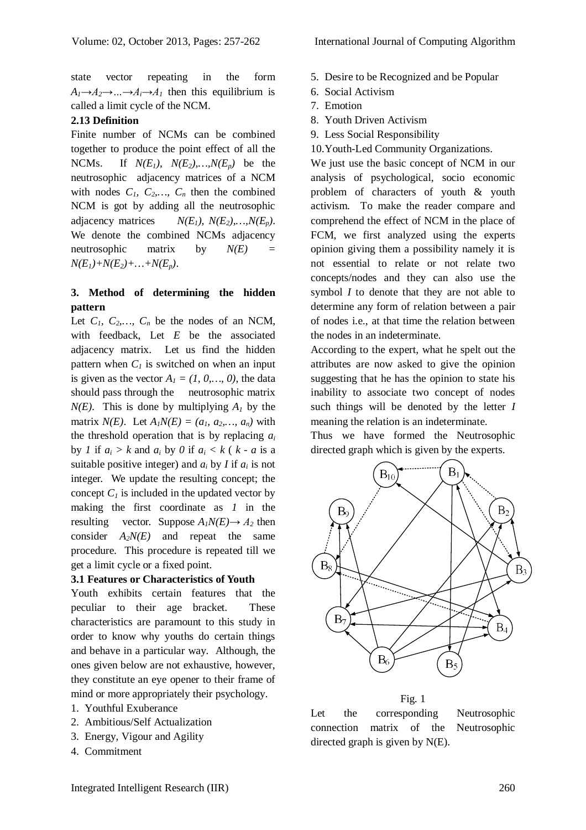state vector repeating in the form  $A_1 \rightarrow A_2 \rightarrow \dots \rightarrow A_i \rightarrow A_1$  then this equilibrium is called a limit cycle of the NCM.

## **2.13 Definition**

Finite number of NCMs can be combined together to produce the point effect of all the NCMs. If  $N(E_1)$ ,  $N(E_2)$ ,  $N(E_p)$  be the neutrosophic adjacency matrices of a NCM with nodes  $C_1$ ,  $C_2$ ,  $C_n$ , then the combined NCM is got by adding all the neutrosophic adjacency matrices  $N(E_1), N(E_2), ..., N(E_n)$ . We denote the combined NCMs adjacency neutrosophic matrix by  $N(E)$  $N(E_1) + N(E_2) + ... + N(E_p)$ .

# **3. Method of determining the hidden pattern**

Let  $C_1$ ,  $C_2$ ,  $C_n$  be the nodes of an NCM, with feedback, Let *E* be the associated adjacency matrix. Let us find the hidden pattern when  $C<sub>l</sub>$  is switched on when an input is given as the vector  $A_1 = (1, 0, \dots, 0)$ , the data should pass through the neutrosophic matrix  $N(E)$ . This is done by multiplying  $A<sub>1</sub>$  by the matrix *N(E)*. Let  $A_1N(E) = (a_1, a_2,..., a_n)$  with the threshold operation that is by replacing *a<sup>i</sup>* by *1* if  $a_i > k$  and  $a_i$  by *0* if  $a_i < k$  (  $k - a$  is a suitable positive integer) and  $a_i$  by *I* if  $a_i$  is not integer. We update the resulting concept; the concept  $C<sub>1</sub>$  is included in the updated vector by making the first coordinate as *1* in the resulting vector. Suppose  $A_1N(E) \rightarrow A_2$  then consider  $A_2N(E)$  and repeat the same procedure. This procedure is repeated till we get a limit cycle or a fixed point.

## **3.1 Features or Characteristics of Youth**

Youth exhibits certain features that the peculiar to their age bracket. These characteristics are paramount to this study in order to know why youths do certain things and behave in a particular way. Although, the ones given below are not exhaustive, however, they constitute an eye opener to their frame of mind or more appropriately their psychology.

- 1. Youthful Exuberance
- 2. Ambitious/Self Actualization
- 3. Energy, Vigour and Agility
- 4. Commitment
- 5. Desire to be Recognized and be Popular
- 6. Social Activism
- 7. Emotion
- 8. Youth Driven Activism
- 9. Less Social Responsibility
- 10.Youth-Led Community Organizations.

We just use the basic concept of NCM in our analysis of psychological, socio economic problem of characters of youth & youth activism. To make the reader compare and comprehend the effect of NCM in the place of FCM, we first analyzed using the experts opinion giving them a possibility namely it is not essential to relate or not relate two concepts/nodes and they can also use the symbol *I* to denote that they are not able to determine any form of relation between a pair of nodes i.e., at that time the relation between the nodes in an indeterminate.

According to the expert, what he spelt out the attributes are now asked to give the opinion suggesting that he has the opinion to state his inability to associate two concept of nodes such things will be denoted by the letter *I* meaning the relation is an indeterminate.

Thus we have formed the Neutrosophic directed graph which is given by the experts.



Fig. 1

Let the corresponding Neutrosophic connection matrix of the Neutrosophic directed graph is given by N(E).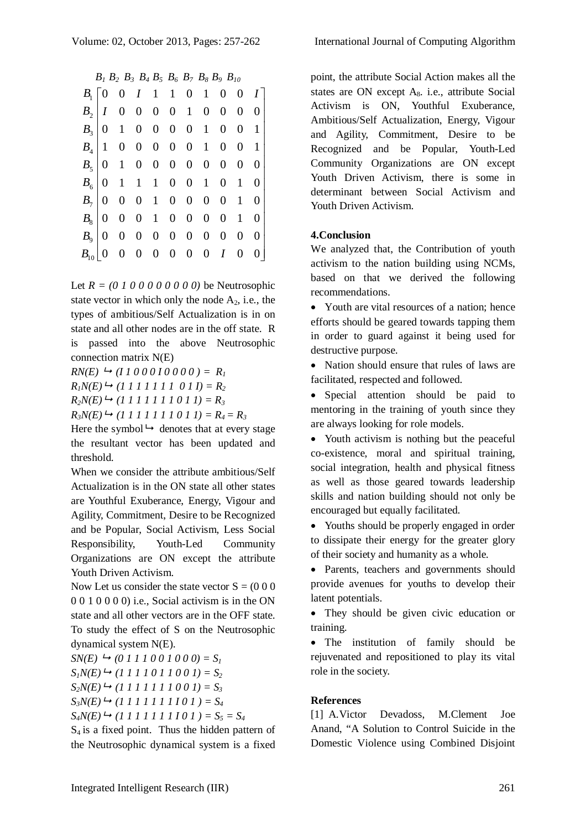$B_1 B_2 B_3 B_4 B_5 B_6 B_7 B_8 B_9 B_{10}$ 

| $B_1 \begin{bmatrix} 0 & 0 & I & 1 & 1 & 0 & 1 & 0 & 0 & I \end{bmatrix}$<br>$B_2   I \t0 \t0 \t0 \t0 \t1 \t0 \t0 \t0 \t0$ |
|----------------------------------------------------------------------------------------------------------------------------|
|                                                                                                                            |
|                                                                                                                            |
| $B_3$ 0 1 0 0 0 0 1 0 0 1                                                                                                  |
| $B_4$ 1 0 0 0 0 0 1 0 0 1                                                                                                  |
|                                                                                                                            |
|                                                                                                                            |
| $B_7$ 0 0 0 1 0 0 0 0 1 0                                                                                                  |
| $B_8$   0 0 0 1 0 0 0 0 1 0                                                                                                |
| $B_9$   0 0 0 0 0 0 0 0 0 0 0                                                                                              |
|                                                                                                                            |
|                                                                                                                            |

Let  $R = (0 1 0 0 0 0 0 0 0 0)$  be Neutrosophic state vector in which only the node  $A_2$ , i.e., the types of ambitious/Self Actualization is in on state and all other nodes are in the off state. R is passed into the above Neutrosophic connection matrix N(E)

 $RN(E) \rightarrow (I 1 0 0 0 1 0 0 0 0) = R_I$ 

 $R_1N(E) \rightarrow (1\ 1\ 1\ 1\ 1\ 1\ 1\ 0\ 1\ 1) = R_2$ 

 $R_2N(E) \rightarrow (1\ 1\ 1\ 1\ 1\ 1\ 0\ 1\ 1) = R_3$ 

 $R_3N(E) \rightarrow (1 \ 1 \ 1 \ 1 \ 1 \ 1 \ 0 \ 1 \ 1) = R_4 = R_3$ 

Here the symbol  $\rightarrow$  denotes that at every stage the resultant vector has been updated and threshold.

When we consider the attribute ambitious/Self Actualization is in the ON state all other states are Youthful Exuberance, Energy, Vigour and Agility, Commitment, Desire to be Recognized and be Popular, Social Activism, Less Social Responsibility, Youth-Led Community Organizations are ON except the attribute Youth Driven Activism.

Now Let us consider the state vector S = (0 0 0 0 0 1 0 0 0 0) i.e., Social activism is in the ON state and all other vectors are in the OFF state. To study the effect of S on the Neutrosophic dynamical system N(E).

 $SN(E) \rightarrow (0\ 1\ 1\ 1\ 0\ 0\ 1\ 0\ 0\ 0) = S_I$ 

 $S_1N(E) \rightarrow (1\ 1\ 1\ 1\ 0\ 1\ 1\ 0\ 0\ 1) = S_2$ 

 $S_2N(E) \rightarrow (1\ 1\ 1\ 1\ 1\ 1\ 0\ 0\ 1) = S_3$ 

 $S_3N(E) \rightarrow (1\ 1\ 1\ 1\ 1\ 1\ 1\ 0\ 1) = S_4$ 

 $S_4N(E) \rightarrow (1\ 1\ 1\ 1\ 1\ 1\ 1\ 0\ 1) = S_5 = S_4$ 

 $S_4$  is a fixed point. Thus the hidden pattern of the Neutrosophic dynamical system is a fixed

point, the attribute Social Action makes all the states are ON except A<sub>8</sub>. i.e., attribute Social Activism is ON, Youthful Exuberance, Ambitious/Self Actualization, Energy, Vigour and Agility, Commitment, Desire to be Recognized and be Popular, Youth-Led Community Organizations are ON except Youth Driven Activism, there is some in determinant between Social Activism and Youth Driven Activism.

# **4.Conclusion**

We analyzed that, the Contribution of youth activism to the nation building using NCMs, based on that we derived the following recommendations.

 Youth are vital resources of a nation; hence efforts should be geared towards tapping them in order to guard against it being used for destructive purpose.

• Nation should ensure that rules of laws are facilitated, respected and followed.

• Special attention should be paid to mentoring in the training of youth since they are always looking for role models.

• Youth activism is nothing but the peaceful co-existence, moral and spiritual training, social integration, health and physical fitness as well as those geared towards leadership skills and nation building should not only be encouraged but equally facilitated.

• Youths should be properly engaged in order to dissipate their energy for the greater glory of their society and humanity as a whole.

• Parents, teachers and governments should provide avenues for youths to develop their latent potentials.

 They should be given civic education or training.

 The institution of family should be rejuvenated and repositioned to play its vital role in the society.

# **References**

[1] A.Victor Devadoss, M.Clement Joe Anand, "A Solution to Control Suicide in the Domestic Violence using Combined Disjoint